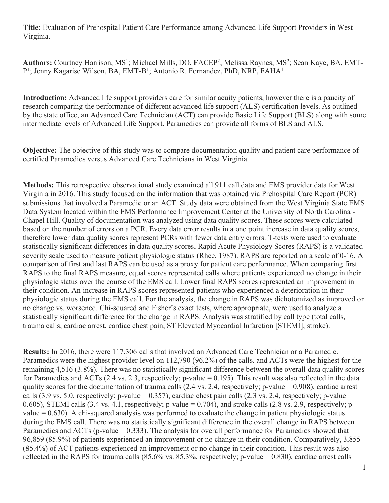**Title:** Evaluation of Prehospital Patient Care Performance among Advanced Life Support Providers in West Virginia.

Authors: Courtney Harrison, MS<sup>1</sup>; Michael Mills, DO, FACEP<sup>2</sup>; Melissa Raynes, MS<sup>2</sup>; Sean Kaye, BA, EMT-P<sup>1</sup>; Jenny Kagarise Wilson, BA, EMT-B<sup>1</sup>; Antonio R. Fernandez, PhD, NRP, FAHA<sup>1</sup>

**Introduction:** Advanced life support providers care for similar acuity patients, however there is a paucity of research comparing the performance of different advanced life support (ALS) certification levels. As outlined by the state office, an Advanced Care Technician (ACT) can provide Basic Life Support (BLS) along with some intermediate levels of Advanced Life Support. Paramedics can provide all forms of BLS and ALS.

**Objective:** The objective of this study was to compare documentation quality and patient care performance of certified Paramedics versus Advanced Care Technicians in West Virginia.

**Methods:** This retrospective observational study examined all 911 call data and EMS provider data for West Virginia in 2016. This study focused on the information that was obtained via Prehospital Care Report (PCR) submissions that involved a Paramedic or an ACT. Study data were obtained from the West Virginia State EMS Data System located within the EMS Performance Improvement Center at the University of North Carolina - Chapel Hill. Quality of documentation was analyzed using data quality scores. These scores were calculated based on the number of errors on a PCR. Every data error results in a one point increase in data quality scores, therefore lower data quality scores represent PCRs with fewer data entry errors. T-tests were used to evaluate statistically significant differences in data quality scores. Rapid Acute Physiology Scores (RAPS) is a validated severity scale used to measure patient physiologic status (Rhee, 1987). RAPS are reported on a scale of 0-16. A comparison of first and last RAPS can be used as a proxy for patient care performance. When comparing first RAPS to the final RAPS measure, equal scores represented calls where patients experienced no change in their physiologic status over the course of the EMS call. Lower final RAPS scores represented an improvement in their condition. An increase in RAPS scores represented patients who experienced a deterioration in their physiologic status during the EMS call. For the analysis, the change in RAPS was dichotomized as improved or no change vs. worsened. Chi-squared and Fisher's exact tests, where appropriate, were used to analyze a statistically significant difference for the change in RAPS. Analysis was stratified by call type (total calls, trauma calls, cardiac arrest, cardiac chest pain, ST Elevated Myocardial Infarction [STEMI], stroke).

**Results:** In 2016, there were 117,306 calls that involved an Advanced Care Technician or a Paramedic. Paramedics were the highest provider level on 112,790 (96.2%) of the calls, and ACTs were the highest for the remaining 4,516 (3.8%). There was no statistically significant difference between the overall data quality scores for Paramedics and ACTs (2.4 vs. 2.3, respectively; p-value = 0.195). This result was also reflected in the data quality scores for the documentation of trauma calls (2.4 vs. 2.4, respectively; p-value = 0.908), cardiac arrest calls (3.9 vs. 5.0, respectively; p-value = 0.357), cardiac chest pain calls (2.3 vs. 2.4, respectively; p-value = 0.605), STEMI calls  $(3.4 \text{ vs. } 4.1, \text{ respectively}; \text{ p-value} = 0.704$ ), and stroke calls  $(2.8 \text{ vs. } 2.9, \text{ respectively}; \text{ p}$ value  $= 0.630$ ). A chi-squared analysis was performed to evaluate the change in patient physiologic status during the EMS call. There was no statistically significant difference in the overall change in RAPS between Paramedics and ACTs (p-value = 0.333). The analysis for overall performance for Paramedics showed that 96,859 (85.9%) of patients experienced an improvement or no change in their condition. Comparatively, 3,855 (85.4%) of ACT patients experienced an improvement or no change in their condition. This result was also reflected in the RAPS for trauma calls (85.6% vs. 85.3%, respectively; p-value = 0.830), cardiac arrest calls